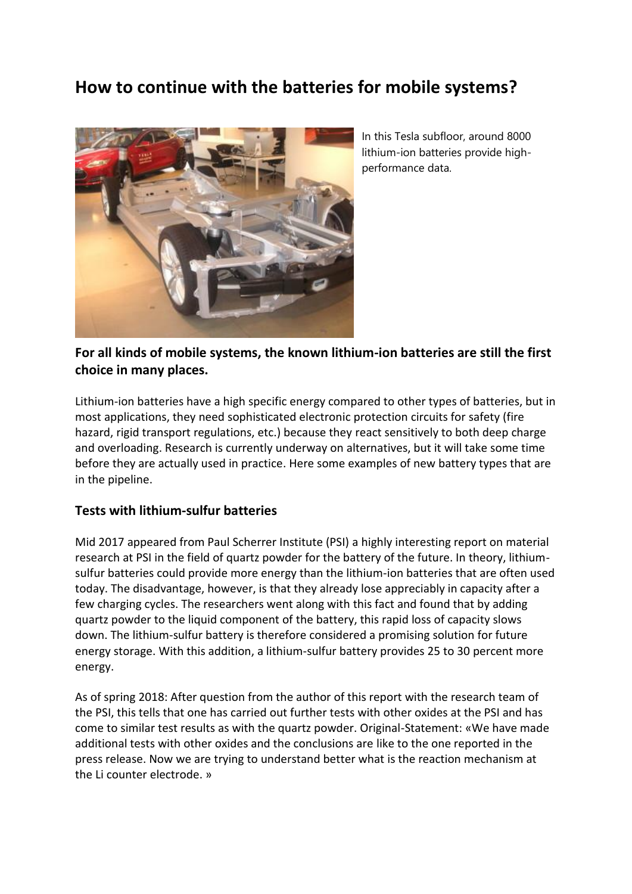# **How to continue with the batteries for mobile systems?**



In this Tesla subfloor, around 8000 lithium-ion batteries provide highperformance data.

## **For all kinds of mobile systems, the known lithium-ion batteries are still the first choice in many places.**

Lithium-ion batteries have a high specific energy compared to other types of batteries, but in most applications, they need sophisticated electronic protection circuits for safety (fire hazard, rigid transport regulations, etc.) because they react sensitively to both deep charge and overloading. Research is currently underway on alternatives, but it will take some time before they are actually used in practice. Here some examples of new battery types that are in the pipeline.

### **Tests with lithium-sulfur batteries**

Mid 2017 appeared from Paul Scherrer Institute (PSI) a highly interesting report on material research at PSI in the field of quartz powder for the battery of the future. In theory, lithiumsulfur batteries could provide more energy than the lithium-ion batteries that are often used today. The disadvantage, however, is that they already lose appreciably in capacity after a few charging cycles. The researchers went along with this fact and found that by adding quartz powder to the liquid component of the battery, this rapid loss of capacity slows down. The lithium-sulfur battery is therefore considered a promising solution for future energy storage. With this addition, a lithium-sulfur battery provides 25 to 30 percent more energy.

As of spring 2018: After question from the author of this report with the research team of the PSI, this tells that one has carried out further tests with other oxides at the PSI and has come to similar test results as with the quartz powder. Original-Statement: «We have made additional tests with other oxides and the conclusions are like to the one reported in the press release. Now we are trying to understand better what is the reaction mechanism at the Li counter electrode. »